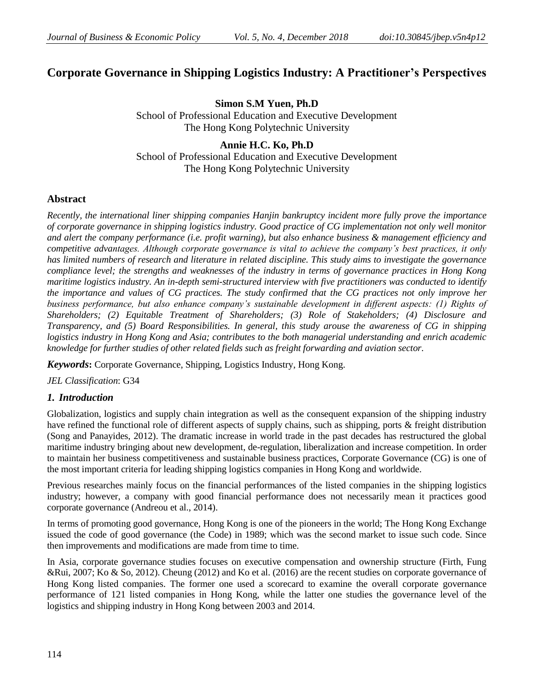# **Corporate Governance in Shipping Logistics Industry: A Practitioner's Perspectives**

**Simon S.M Yuen, Ph.D** School of Professional Education and Executive Development The Hong Kong Polytechnic University

**Annie H.C. Ko, Ph.D** School of Professional Education and Executive Development The Hong Kong Polytechnic University

# **Abstract**

*Recently, the international liner shipping companies Hanjin bankruptcy incident more fully prove the importance of corporate governance in shipping logistics industry. Good practice of CG implementation not only well monitor and alert the company performance (i.e. profit warning), but also enhance business & management efficiency and competitive advantages. Although corporate governance is vital to achieve the company's best practices, it only has limited numbers of research and literature in related discipline. This study aims to investigate the governance compliance level; the strengths and weaknesses of the industry in terms of governance practices in Hong Kong maritime logistics industry. An in-depth semi-structured interview with five practitioners was conducted to identify the importance and values of CG practices. The study confirmed that the CG practices not only improve her business performance, but also enhance company's sustainable development in different aspects: (1) Rights of Shareholders; (2) Equitable Treatment of Shareholders; (3) Role of Stakeholders; (4) Disclosure and Transparency, and (5) Board Responsibilities. In general, this study arouse the awareness of CG in shipping logistics industry in Hong Kong and Asia; contributes to the both managerial understanding and enrich academic knowledge for further studies of other related fields such as freight forwarding and aviation sector.*

*Keywords***:** Corporate Governance, Shipping, Logistics Industry, Hong Kong.

*JEL Classification*: G34

## *1. Introduction*

Globalization, logistics and supply chain integration as well as the consequent expansion of the shipping industry have refined the functional role of different aspects of supply chains, such as shipping, ports & freight distribution (Song and Panayides, 2012). The dramatic increase in world trade in the past decades has restructured the global maritime industry bringing about new development, de-regulation, liberalization and increase competition. In order to maintain her business competitiveness and sustainable business practices, Corporate Governance (CG) is one of the most important criteria for leading shipping logistics companies in Hong Kong and worldwide.

Previous researches mainly focus on the financial performances of the listed companies in the shipping logistics industry; however, a company with good financial performance does not necessarily mean it practices good corporate governance (Andreou et al., 2014).

In terms of promoting good governance, Hong Kong is one of the pioneers in the world; The Hong Kong Exchange issued the code of good governance (the Code) in 1989; which was the second market to issue such code. Since then improvements and modifications are made from time to time.

In Asia, corporate governance studies focuses on executive compensation and ownership structure (Firth, Fung &Rui, 2007; Ko & So, 2012). Cheung (2012) and Ko et al. (2016) are the recent studies on corporate governance of Hong Kong listed companies. The former one used a scorecard to examine the overall corporate governance performance of 121 listed companies in Hong Kong, while the latter one studies the governance level of the logistics and shipping industry in Hong Kong between 2003 and 2014.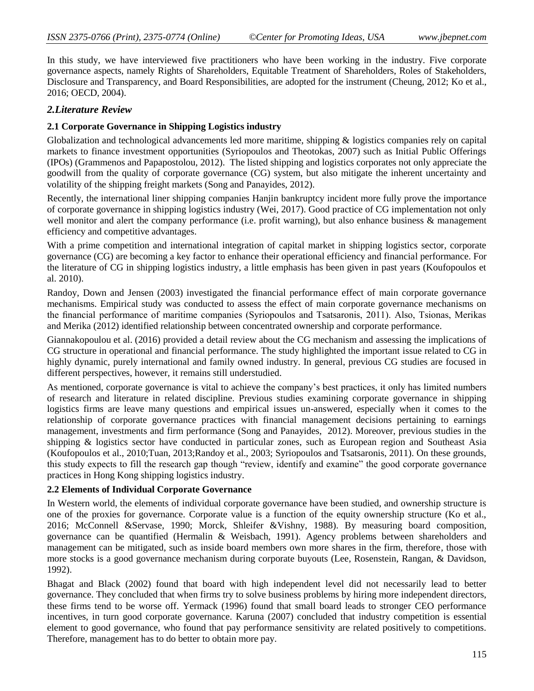In this study, we have interviewed five practitioners who have been working in the industry. Five corporate governance aspects, namely Rights of Shareholders, Equitable Treatment of Shareholders, Roles of Stakeholders, Disclosure and Transparency, and Board Responsibilities, are adopted for the instrument (Cheung, 2012; Ko et al., 2016; OECD, 2004).

# *2.Literature Review*

## **2.1 Corporate Governance in Shipping Logistics industry**

Globalization and technological advancements led more maritime, shipping & logistics companies rely on capital markets to finance investment opportunities (Syriopoulos and Theotokas, 2007) such as Initial Public Offerings (IPOs) (Grammenos and Papapostolou, 2012). The listed shipping and logistics corporates not only appreciate the goodwill from the quality of corporate governance (CG) system, but also mitigate the inherent uncertainty and volatility of the shipping freight markets (Song and Panayides, 2012).

Recently, the international liner shipping companies Hanjin bankruptcy incident more fully prove the importance of corporate governance in shipping logistics industry (Wei, 2017). Good practice of CG implementation not only well monitor and alert the company performance (i.e. profit warning), but also enhance business & management efficiency and competitive advantages.

With a prime competition and international integration of capital market in shipping logistics sector, corporate governance (CG) are becoming a key factor to enhance their operational efficiency and financial performance. For the literature of CG in shipping logistics industry, a little emphasis has been given in past years (Koufopoulos et al. 2010).

Randoy, Down and Jensen (2003) investigated the financial performance effect of main corporate governance mechanisms. Empirical study was conducted to assess the effect of main corporate governance mechanisms on the financial performance of maritime companies (Syriopoulos and Tsatsaronis, 2011). Also, Tsionas, Merikas and Merika (2012) identified relationship between concentrated ownership and corporate performance.

Giannakopoulou et al. (2016) provided a detail review about the CG mechanism and assessing the implications of CG structure in operational and financial performance. The study highlighted the important issue related to CG in highly dynamic, purely international and family owned industry. In general, previous CG studies are focused in different perspectives, however, it remains still understudied.

As mentioned, corporate governance is vital to achieve the company"s best practices, it only has limited numbers of research and literature in related discipline. Previous studies examining corporate governance in shipping logistics firms are leave many questions and empirical issues un-answered, especially when it comes to the relationship of corporate governance practices with financial management decisions pertaining to earnings management, investments and firm performance (Song and Panayides, 2012). Moreover, previous studies in the shipping & logistics sector have conducted in particular zones, such as European region and Southeast Asia (Koufopoulos et al., 2010;Tuan, 2013;Randoy et al., 2003; Syriopoulos and Tsatsaronis, 2011). On these grounds, this study expects to fill the research gap though "review, identify and examine" the good corporate governance practices in Hong Kong shipping logistics industry.

## **2.2 Elements of Individual Corporate Governance**

In Western world, the elements of individual corporate governance have been studied, and ownership structure is one of the proxies for governance. Corporate value is a function of the equity ownership structure (Ko et al., 2016; McConnell &Servase, 1990; Morck, Shleifer &Vishny, 1988). By measuring board composition, governance can be quantified (Hermalin & Weisbach, 1991). Agency problems between shareholders and management can be mitigated, such as inside board members own more shares in the firm, therefore, those with more stocks is a good governance mechanism during corporate buyouts (Lee, Rosenstein, Rangan, & Davidson, 1992).

Bhagat and Black (2002) found that board with high independent level did not necessarily lead to better governance. They concluded that when firms try to solve business problems by hiring more independent directors, these firms tend to be worse off. Yermack (1996) found that small board leads to stronger CEO performance incentives, in turn good corporate governance. Karuna (2007) concluded that industry competition is essential element to good governance, who found that pay performance sensitivity are related positively to competitions. Therefore, management has to do better to obtain more pay.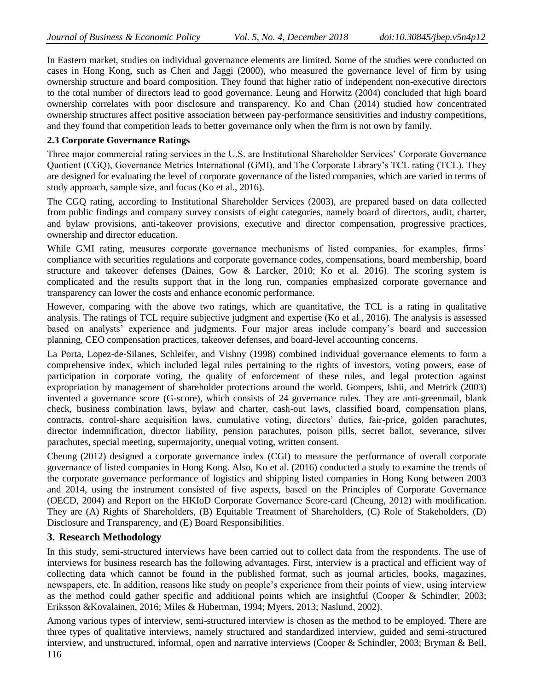In Eastern market, studies on individual governance elements are limited. Some of the studies were conducted on cases in Hong Kong, such as Chen and Jaggi (2000), who measured the governance level of firm by using ownership structure and board composition. They found that higher ratio of independent non-executive directors to the total number of directors lead to good governance. Leung and Horwitz (2004) concluded that high board ownership correlates with poor disclosure and transparency. Ko and Chan (2014) studied how concentrated ownership structures affect positive association between pay-performance sensitivities and industry competitions, and they found that competition leads to better governance only when the firm is not own by family.

#### **2.3 Corporate Governance Ratings**

Three major commercial rating services in the U.S. are Institutional Shareholder Services" Corporate Governance Quotient (CGQ), Governance Metrics International (GMI), and The Corporate Library"s TCL rating (TCL). They are designed for evaluating the level of corporate governance of the listed companies, which are varied in terms of study approach, sample size, and focus (Ko et al., 2016).

The CGQ rating, according to Institutional Shareholder Services (2003), are prepared based on data collected from public findings and company survey consists of eight categories, namely board of directors, audit, charter, and bylaw provisions, anti-takeover provisions, executive and director compensation, progressive practices, ownership and director education.

While GMI rating, measures corporate governance mechanisms of listed companies, for examples, firms' compliance with securities regulations and corporate governance codes, compensations, board membership, board structure and takeover defenses (Daines, Gow & Larcker, 2010; Ko et al. 2016). The scoring system is complicated and the results support that in the long run, companies emphasized corporate governance and transparency can lower the costs and enhance economic performance.

However, comparing with the above two ratings, which are quantitative, the TCL is a rating in qualitative analysis. The ratings of TCL require subjective judgment and expertise (Ko et al., 2016). The analysis is assessed based on analysts" experience and judgments. Four major areas include company"s board and succession planning, CEO compensation practices, takeover defenses, and board-level accounting concerns.

La Porta, Lopez-de-Silanes, Schleifer, and Vishny (1998) combined individual governance elements to form a comprehensive index, which included legal rules pertaining to the rights of investors, voting powers, ease of participation in corporate voting, the quality of enforcement of these rules, and legal protection against expropriation by management of shareholder protections around the world. Gompers, Ishii, and Metrick (2003) invented a governance score (G-score), which consists of 24 governance rules. They are anti-greenmail, blank check, business combination laws, bylaw and charter, cash-out laws, classified board, compensation plans, contracts, control-share acquisition laws, cumulative voting, directors' duties, fair-price, golden parachutes, director indemnification, director liability, pension parachutes, poison pills, secret ballot, severance, silver parachutes, special meeting, supermajority, unequal voting, written consent.

Cheung (2012) designed a corporate governance index (CGI) to measure the performance of overall corporate governance of listed companies in Hong Kong. Also, Ko et al. (2016) conducted a study to examine the trends of the corporate governance performance of logistics and shipping listed companies in Hong Kong between 2003 and 2014, using the instrument consisted of five aspects, based on the Principles of Corporate Governance (OECD, 2004) and Report on the HKIoD Corporate Governance Score-card (Cheung, 2012) with modification. They are (A) Rights of Shareholders, (B) Equitable Treatment of Shareholders, (C) Role of Stakeholders, (D) Disclosure and Transparency, and (E) Board Responsibilities.

## **3. Research Methodology**

In this study, semi-structured interviews have been carried out to collect data from the respondents. The use of interviews for business research has the following advantages. First, interview is a practical and efficient way of collecting data which cannot be found in the published format, such as journal articles, books, magazines, newspapers, etc. In addition, reasons like study on people"s experience from their points of view, using interview as the method could gather specific and additional points which are insightful (Cooper & Schindler, 2003; Eriksson &Kovalainen, 2016; Miles & Huberman, 1994; Myers, 2013; Naslund, 2002).

Among various types of interview, semi-structured interview is chosen as the method to be employed. There are three types of qualitative interviews, namely structured and standardized interview, guided and semi-structured interview, and unstructured, informal, open and narrative interviews (Cooper & Schindler, 2003; Bryman & Bell,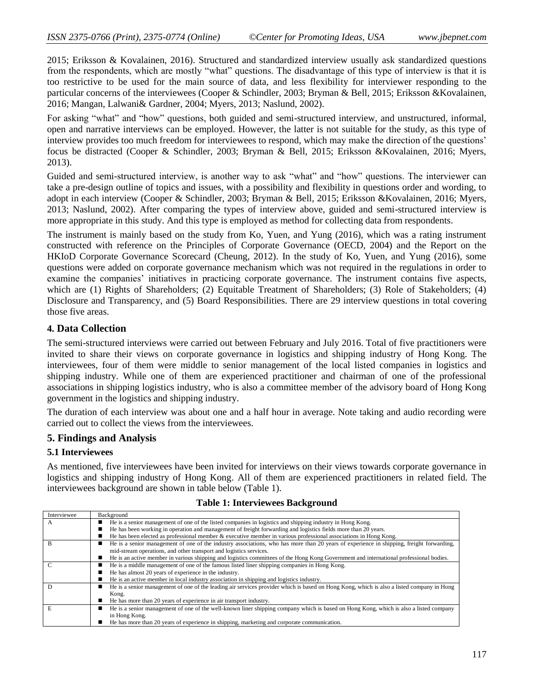2015; Eriksson & Kovalainen, 2016). Structured and standardized interview usually ask standardized questions from the respondents, which are mostly "what" questions. The disadvantage of this type of interview is that it is too restrictive to be used for the main source of data, and less flexibility for interviewer responding to the particular concerns of the interviewees (Cooper & Schindler, 2003; Bryman & Bell, 2015; Eriksson &Kovalainen, 2016; Mangan, Lalwani& Gardner, 2004; Myers, 2013; Naslund, 2002).

For asking "what" and "how" questions, both guided and semi-structured interview, and unstructured, informal, open and narrative interviews can be employed. However, the latter is not suitable for the study, as this type of interview provides too much freedom for interviewees to respond, which may make the direction of the questions" focus be distracted (Cooper & Schindler, 2003; Bryman & Bell, 2015; Eriksson &Kovalainen, 2016; Myers, 2013).

Guided and semi-structured interview, is another way to ask "what" and "how" questions. The interviewer can take a pre-design outline of topics and issues, with a possibility and flexibility in questions order and wording, to adopt in each interview (Cooper & Schindler, 2003; Bryman & Bell, 2015; Eriksson &Kovalainen, 2016; Myers, 2013; Naslund, 2002). After comparing the types of interview above, guided and semi-structured interview is more appropriate in this study. And this type is employed as method for collecting data from respondents.

The instrument is mainly based on the study from Ko, Yuen, and Yung (2016), which was a rating instrument constructed with reference on the Principles of Corporate Governance (OECD, 2004) and the Report on the HKIoD Corporate Governance Scorecard (Cheung, 2012). In the study of Ko, Yuen, and Yung (2016), some questions were added on corporate governance mechanism which was not required in the regulations in order to examine the companies" initiatives in practicing corporate governance. The instrument contains five aspects, which are (1) Rights of Shareholders; (2) Equitable Treatment of Shareholders; (3) Role of Stakeholders; (4) Disclosure and Transparency, and (5) Board Responsibilities. There are 29 interview questions in total covering those five areas.

## **4. Data Collection**

The semi-structured interviews were carried out between February and July 2016. Total of five practitioners were invited to share their views on corporate governance in logistics and shipping industry of Hong Kong. The interviewees, four of them were middle to senior management of the local listed companies in logistics and shipping industry. While one of them are experienced practitioner and chairman of one of the professional associations in shipping logistics industry, who is also a committee member of the advisory board of Hong Kong government in the logistics and shipping industry.

The duration of each interview was about one and a half hour in average. Note taking and audio recording were carried out to collect the views from the interviewees.

## **5. Findings and Analysis**

#### **5.1 Interviewees**

Interviewee Background

As mentioned, five interviewees have been invited for interviews on their views towards corporate governance in logistics and shipping industry of Hong Kong. All of them are experienced practitioners in related field. The interviewees background are shown in table below (Table 1).

| A | He is a senior management of one of the listed companies in logistics and shipping industry in Hong Kong.<br>$\blacksquare$                   |  |  |  |  |  |
|---|-----------------------------------------------------------------------------------------------------------------------------------------------|--|--|--|--|--|
|   | He has been working in operation and management of freight forwarding and logistics fields more than 20 years.<br>■                           |  |  |  |  |  |
|   | He has been elected as professional member $\&$ executive member in various professional associations in Hong Kong.<br>■                      |  |  |  |  |  |
|   | He is a senior management of one of the industry associations, who has more than 20 years of experience in shipping, freight forwarding,<br>■ |  |  |  |  |  |
|   | mid-stream operations, and other transport and logistics services.                                                                            |  |  |  |  |  |
|   | He is an active member in various shipping and logistics committees of the Hong Kong Government and international professional bodies.<br>■   |  |  |  |  |  |
|   | He is a middle management of one of the famous listed liner shipping companies in Hong Kong.<br>■                                             |  |  |  |  |  |
|   | He has almost 20 years of experience in the industry.                                                                                         |  |  |  |  |  |
|   | He is an active member in local industry association in shipping and logistics industry.                                                      |  |  |  |  |  |
|   | He is a senior management of one of the leading air services provider which is based on Hong Kong, which is also a listed company in Hong     |  |  |  |  |  |
|   | Kong.                                                                                                                                         |  |  |  |  |  |
|   | He has more than 20 years of experience in air transport industry.<br>■                                                                       |  |  |  |  |  |
|   | He is a senior management of one of the well-known liner shipping company which is based on Hong Kong, which is also a listed company<br>■    |  |  |  |  |  |
|   | in Hong Kong.                                                                                                                                 |  |  |  |  |  |
|   | He has more than 20 years of experience in shipping, marketing and corporate communication.                                                   |  |  |  |  |  |

#### **Table 1: Interviewees Background**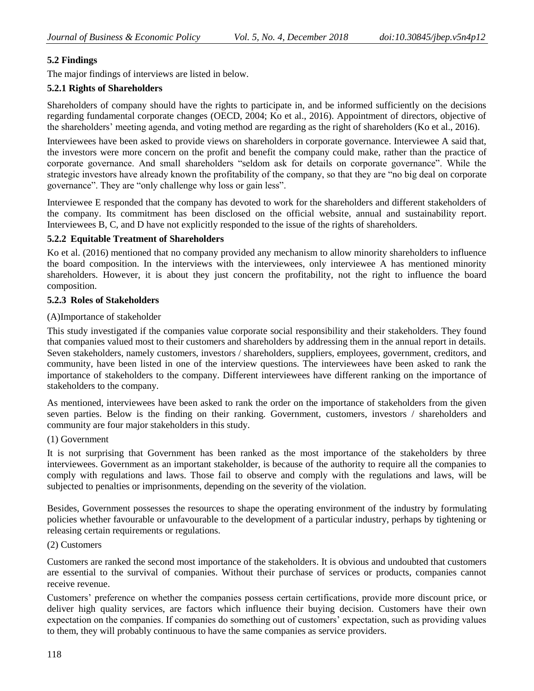# **5.2 Findings**

The major findings of interviews are listed in below.

## **5.2.1 Rights of Shareholders**

Shareholders of company should have the rights to participate in, and be informed sufficiently on the decisions regarding fundamental corporate changes (OECD, 2004; Ko et al., 2016). Appointment of directors, objective of the shareholders" meeting agenda, and voting method are regarding as the right of shareholders (Ko et al., 2016).

Interviewees have been asked to provide views on shareholders in corporate governance. Interviewee A said that, the investors were more concern on the profit and benefit the company could make, rather than the practice of corporate governance. And small shareholders "seldom ask for details on corporate governance". While the strategic investors have already known the profitability of the company, so that they are "no big deal on corporate governance". They are "only challenge why loss or gain less".

Interviewee E responded that the company has devoted to work for the shareholders and different stakeholders of the company. Its commitment has been disclosed on the official website, annual and sustainability report. Interviewees B, C, and D have not explicitly responded to the issue of the rights of shareholders.

## **5.2.2 Equitable Treatment of Shareholders**

Ko et al. (2016) mentioned that no company provided any mechanism to allow minority shareholders to influence the board composition. In the interviews with the interviewees, only interviewee A has mentioned minority shareholders. However, it is about they just concern the profitability, not the right to influence the board composition.

## **5.2.3 Roles of Stakeholders**

## (A)Importance of stakeholder

This study investigated if the companies value corporate social responsibility and their stakeholders. They found that companies valued most to their customers and shareholders by addressing them in the annual report in details. Seven stakeholders, namely customers, investors / shareholders, suppliers, employees, government, creditors, and community, have been listed in one of the interview questions. The interviewees have been asked to rank the importance of stakeholders to the company. Different interviewees have different ranking on the importance of stakeholders to the company.

As mentioned, interviewees have been asked to rank the order on the importance of stakeholders from the given seven parties. Below is the finding on their ranking. Government, customers, investors / shareholders and community are four major stakeholders in this study.

#### (1) Government

It is not surprising that Government has been ranked as the most importance of the stakeholders by three interviewees. Government as an important stakeholder, is because of the authority to require all the companies to comply with regulations and laws. Those fail to observe and comply with the regulations and laws, will be subjected to penalties or imprisonments, depending on the severity of the violation.

Besides, Government possesses the resources to shape the operating environment of the industry by formulating policies whether favourable or unfavourable to the development of a particular industry, perhaps by tightening or releasing certain requirements or regulations.

## (2) Customers

Customers are ranked the second most importance of the stakeholders. It is obvious and undoubted that customers are essential to the survival of companies. Without their purchase of services or products, companies cannot receive revenue.

Customers" preference on whether the companies possess certain certifications, provide more discount price, or deliver high quality services, are factors which influence their buying decision. Customers have their own expectation on the companies. If companies do something out of customers" expectation, such as providing values to them, they will probably continuous to have the same companies as service providers.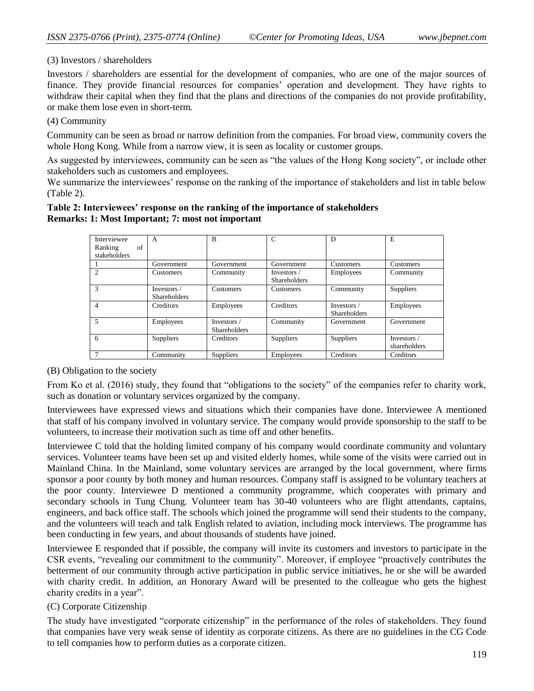## (3) Investors / shareholders

Investors / shareholders are essential for the development of companies, who are one of the major sources of finance. They provide financial resources for companies" operation and development. They have rights to withdraw their capital when they find that the plans and directions of the companies do not provide profitability, or make them lose even in short-term.

#### (4) Community

Community can be seen as broad or narrow definition from the companies. For broad view, community covers the whole Hong Kong. While from a narrow view, it is seen as locality or customer groups.

As suggested by interviewees, community can be seen as "the values of the Hong Kong society", or include other stakeholders such as customers and employees.

We summarize the interviewees' response on the ranking of the importance of stakeholders and list in table below (Table 2).

#### **Table 2: Interviewees' response on the ranking of the importance of stakeholders Remarks: 1: Most Important; 7: most not important**

| Interviewee<br>of<br>Ranking | A                                  | B                                  | $\mathcal{C}$                      | D                                  | E                           |
|------------------------------|------------------------------------|------------------------------------|------------------------------------|------------------------------------|-----------------------------|
| stakeholders                 |                                    |                                    |                                    |                                    |                             |
|                              | Government                         | Government                         | Government                         | <b>Customers</b>                   | Customers                   |
| $\mathfrak{D}$               | <b>Customers</b>                   | Community                          | Investors /<br><b>Shareholders</b> | Employees                          | Community                   |
| $\mathcal{R}$                | Investors /<br><b>Shareholders</b> | <b>Customers</b>                   | <b>Customers</b>                   | Community                          | <b>Suppliers</b>            |
| 4                            | Creditors                          | Employees                          | Creditors                          | Investors /<br><b>Shareholders</b> | Employees                   |
| 5                            | Employees                          | Investors /<br><b>Shareholders</b> | Community                          | Government                         | Government                  |
| 6                            | <b>Suppliers</b>                   | Creditors                          | <b>Suppliers</b>                   | <b>Suppliers</b>                   | Investors /<br>shareholders |
|                              | Community                          | <b>Suppliers</b>                   | Employees                          | Creditors                          | Creditors                   |

## (B) Obligation to the society

From Ko et al. (2016) study, they found that "obligations to the society" of the companies refer to charity work, such as donation or voluntary services organized by the company.

Interviewees have expressed views and situations which their companies have done. Interviewee A mentioned that staff of his company involved in voluntary service. The company would provide sponsorship to the staff to be volunteers, to increase their motivation such as time off and other benefits.

Interviewee C told that the holding limited company of his company would coordinate community and voluntary services. Volunteer teams have been set up and visited elderly homes, while some of the visits were carried out in Mainland China. In the Mainland, some voluntary services are arranged by the local government, where firms sponsor a poor county by both money and human resources. Company staff is assigned to be voluntary teachers at the poor county. Interviewee D mentioned a community programme, which cooperates with primary and secondary schools in Tung Chung. Volunteer team has 30-40 volunteers who are flight attendants, captains, engineers, and back office staff. The schools which joined the programme will send their students to the company, and the volunteers will teach and talk English related to aviation, including mock interviews. The programme has been conducting in few years, and about thousands of students have joined.

Interviewee E responded that if possible, the company will invite its customers and investors to participate in the CSR events, "revealing our commitment to the community". Moreover, if employee "proactively contributes the betterment of our community through active participation in public service initiatives, he or she will be awarded with charity credit. In addition, an Honorary Award will be presented to the colleague who gets the highest charity credits in a year".

## (C) Corporate Citizenship

The study have investigated "corporate citizenship" in the performance of the roles of stakeholders. They found that companies have very weak sense of identity as corporate citizens. As there are no guidelines in the CG Code to tell companies how to perform duties as a corporate citizen.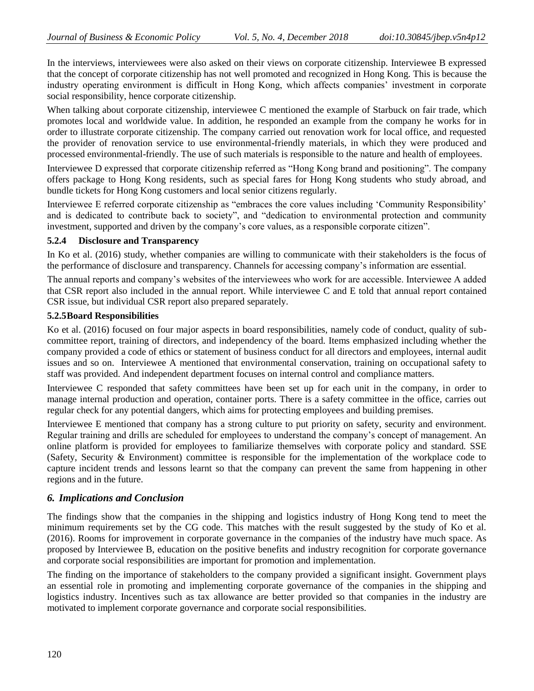In the interviews, interviewees were also asked on their views on corporate citizenship. Interviewee B expressed that the concept of corporate citizenship has not well promoted and recognized in Hong Kong. This is because the industry operating environment is difficult in Hong Kong, which affects companies" investment in corporate social responsibility, hence corporate citizenship.

When talking about corporate citizenship, interviewee C mentioned the example of Starbuck on fair trade, which promotes local and worldwide value. In addition, he responded an example from the company he works for in order to illustrate corporate citizenship. The company carried out renovation work for local office, and requested the provider of renovation service to use environmental-friendly materials, in which they were produced and processed environmental-friendly. The use of such materials is responsible to the nature and health of employees.

Interviewee D expressed that corporate citizenship referred as "Hong Kong brand and positioning". The company offers package to Hong Kong residents, such as special fares for Hong Kong students who study abroad, and bundle tickets for Hong Kong customers and local senior citizens regularly.

Interviewee E referred corporate citizenship as "embraces the core values including "Community Responsibility" and is dedicated to contribute back to society", and "dedication to environmental protection and community investment, supported and driven by the company"s core values, as a responsible corporate citizen".

## **5.2.4 Disclosure and Transparency**

In Ko et al. (2016) study, whether companies are willing to communicate with their stakeholders is the focus of the performance of disclosure and transparency. Channels for accessing company"s information are essential.

The annual reports and company"s websites of the interviewees who work for are accessible. Interviewee A added that CSR report also included in the annual report. While interviewee C and E told that annual report contained CSR issue, but individual CSR report also prepared separately.

## **5.2.5Board Responsibilities**

Ko et al. (2016) focused on four major aspects in board responsibilities, namely code of conduct, quality of subcommittee report, training of directors, and independency of the board. Items emphasized including whether the company provided a code of ethics or statement of business conduct for all directors and employees, internal audit issues and so on. Interviewee A mentioned that environmental conservation, training on occupational safety to staff was provided. And independent department focuses on internal control and compliance matters.

Interviewee C responded that safety committees have been set up for each unit in the company, in order to manage internal production and operation, container ports. There is a safety committee in the office, carries out regular check for any potential dangers, which aims for protecting employees and building premises.

Interviewee E mentioned that company has a strong culture to put priority on safety, security and environment. Regular training and drills are scheduled for employees to understand the company"s concept of management. An online platform is provided for employees to familiarize themselves with corporate policy and standard. SSE (Safety, Security & Environment) committee is responsible for the implementation of the workplace code to capture incident trends and lessons learnt so that the company can prevent the same from happening in other regions and in the future.

## *6. Implications and Conclusion*

The findings show that the companies in the shipping and logistics industry of Hong Kong tend to meet the minimum requirements set by the CG code. This matches with the result suggested by the study of Ko et al. (2016). Rooms for improvement in corporate governance in the companies of the industry have much space. As proposed by Interviewee B, education on the positive benefits and industry recognition for corporate governance and corporate social responsibilities are important for promotion and implementation.

The finding on the importance of stakeholders to the company provided a significant insight. Government plays an essential role in promoting and implementing corporate governance of the companies in the shipping and logistics industry. Incentives such as tax allowance are better provided so that companies in the industry are motivated to implement corporate governance and corporate social responsibilities.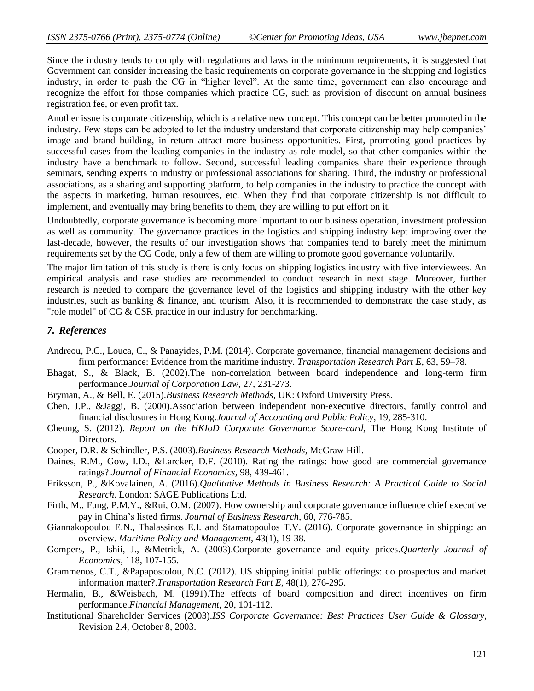Since the industry tends to comply with regulations and laws in the minimum requirements, it is suggested that Government can consider increasing the basic requirements on corporate governance in the shipping and logistics industry, in order to push the CG in "higher level". At the same time, government can also encourage and recognize the effort for those companies which practice CG, such as provision of discount on annual business registration fee, or even profit tax.

Another issue is corporate citizenship, which is a relative new concept. This concept can be better promoted in the industry. Few steps can be adopted to let the industry understand that corporate citizenship may help companies" image and brand building, in return attract more business opportunities. First, promoting good practices by successful cases from the leading companies in the industry as role model, so that other companies within the industry have a benchmark to follow. Second, successful leading companies share their experience through seminars, sending experts to industry or professional associations for sharing. Third, the industry or professional associations, as a sharing and supporting platform, to help companies in the industry to practice the concept with the aspects in marketing, human resources, etc. When they find that corporate citizenship is not difficult to implement, and eventually may bring benefits to them, they are willing to put effort on it.

Undoubtedly, corporate governance is becoming more important to our business operation, investment profession as well as community. The governance practices in the logistics and shipping industry kept improving over the last-decade, however, the results of our investigation shows that companies tend to barely meet the minimum requirements set by the CG Code, only a few of them are willing to promote good governance voluntarily.

The major limitation of this study is there is only focus on shipping logistics industry with five interviewees. An empirical analysis and case studies are recommended to conduct research in next stage. Moreover, further research is needed to compare the governance level of the logistics and shipping industry with the other key industries, such as banking & finance, and tourism. Also, it is recommended to demonstrate the case study, as "role model" of CG & CSR practice in our industry for benchmarking.

## *7. References*

- Andreou, P.C., Louca, C., & Panayides, P.M. (2014). Corporate governance, financial management decisions and firm performance: Evidence from the maritime industry. *Transportation Research Part E*, 63, 59–78.
- Bhagat, S., & Black, B. (2002).The non-correlation between board independence and long-term firm performance.*Journal of Corporation Law,* 27, 231-273.
- Bryman, A., & Bell, E. (2015).*Business Research Methods*, UK: Oxford University Press.
- Chen, J.P., &Jaggi, B. (2000).Association between independent non-executive directors, family control and financial disclosures in Hong Kong.*Journal of Accounting and Public Policy,* 19, 285-310.
- Cheung, S. (2012). *Report on the HKIoD Corporate Governance Score-card*, The Hong Kong Institute of Directors.
- Cooper, D.R. & Schindler, P.S. (2003).*Business Research Methods*, McGraw Hill.
- Daines, R.M., Gow, I.D., &Larcker, D.F. (2010). Rating the ratings: how good are commercial governance ratings?.*Journal of Financial Economics,* 98, 439-461.
- Eriksson, P., &Kovalainen, A. (2016).*Qualitative Methods in Business Research: A Practical Guide to Social Research*. London: SAGE Publications Ltd.
- Firth, M., Fung, P.M.Y., &Rui, O.M. (2007). How ownership and corporate governance influence chief executive pay in China"s listed firms. *Journal of Business Research,* 60, 776-785.
- Giannakopoulou E.N., Thalassinos E.I. and Stamatopoulos T.V. (2016). Corporate governance in shipping: an overview. *Maritime Policy and Management*, 43(1), 19-38.
- Gompers, P., Ishii, J., &Metrick, A. (2003).Corporate governance and equity prices.*Quarterly Journal of Economics,* 118, 107-155.
- Grammenos, C.T., &Papapostolou, N.C. (2012). US shipping initial public offerings: do prospectus and market information matter?.*Transportation Research Part E*, 48(1), 276-295.
- Hermalin, B., &Weisbach, M. (1991).The effects of board composition and direct incentives on firm performance.*Financial Management,* 20, 101-112.
- Institutional Shareholder Services (2003).*ISS Corporate Governance: Best Practices User Guide & Glossary*, Revision 2.4, October 8, 2003.